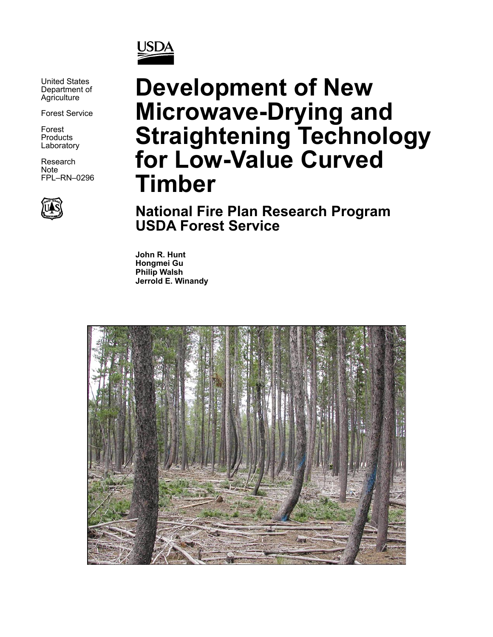

United States Department of **Agriculture** 

Forest Service

Forest **Products Laboratory** 

Research Note FPL–RN–0296



# **Development of New Microwave-Drying and Straightening Technology for Low-Value Curved Timber**

**National Fire Plan Research Program USDA Forest Service**

**John R. Hunt Hongmei Gu Philip Walsh Jerrold E. Winandy**

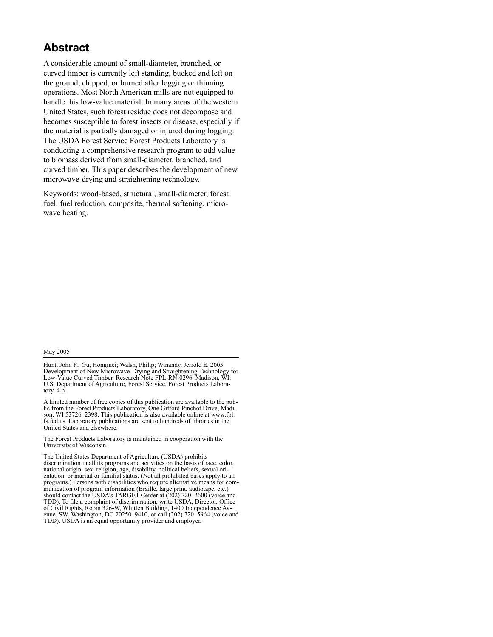#### **Abstract**

A considerable amount of small-diameter, branched, or curved timber is currently left standing, bucked and left on the ground, chipped, or burned after logging or thinning operations. Most North American mills are not equipped to handle this low-value material. In many areas of the western United States, such forest residue does not decompose and becomes susceptible to forest insects or disease, especially if the material is partially damaged or injured during logging. The USDA Forest Service Forest Products Laboratory is conducting a comprehensive research program to add value to biomass derived from small-diameter, branched, and curved timber. This paper describes the development of new microwave-drying and straightening technology.

Keywords: wood-based, structural, small-diameter, forest fuel, fuel reduction, composite, thermal softening, microwave heating.

#### May 2005

Hunt, John F.; Gu, Hongmei; Walsh, Philip; Winandy, Jerrold E. 2005. Development of New Microwave-Drying and Straightening Technology for Low-Value Curved Timber. Research Note FPL-RN-0296. Madison, WI: U.S. Department of Agriculture, Forest Service, Forest Products Laboratory.  $4 \overrightarrow{p}$ .

A limited number of free copies of this publication are available to the public from the Forest Products Laboratory, One Gifford Pinchot Drive, Madison, WI 53726–2398. This publication is also available online at www.fpl. fs.fed.us. Laboratory publications are sent to hundreds of libraries in the United States and elsewhere.

The Forest Products Laboratory is maintained in cooperation with the University of Wisconsin.

The United States Department of Agriculture (USDA) prohibits discrimination in all its programs and activities on the basis of race, color, national origin, sex, religion, age, disability, political beliefs, sexual orientation, or marital or familial status. (Not all prohibited bases apply to all programs.) Persons with disabilities who require alternative means for communication of program information (Braille, large print, audiotape, etc.) should contact the USDA's TARGET Center at (202) 720–2600 (voice and TDD). To file a complaint of discrimination, write USDA, Director, Office of Civil Rights, Room 326-W, Whitten Building, 1400 Independence Avenue, SW, Washington, DC 20250–9410, or call (202) 720–5964 (voice and TDD). USDA is an equal opportunity provider and employer.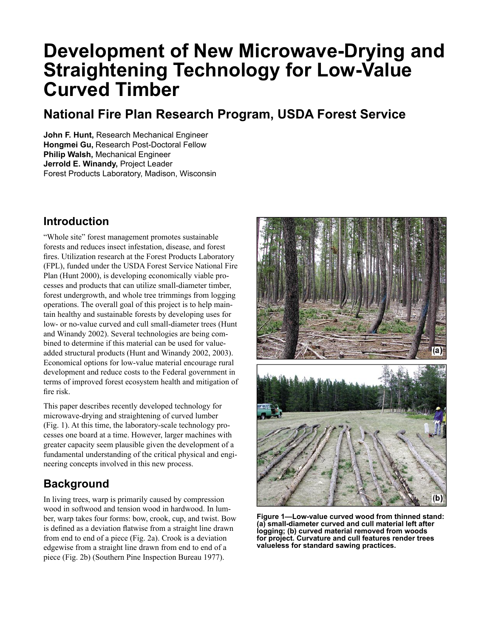## **Development of New Microwave-Drying and Straightening Technology for Low-Value Curved Timber**

### **National Fire Plan Research Program, USDA Forest Service**

**John F. Hunt,** Research Mechanical Engineer **Hongmei Gu,** Research Post-Doctoral Fellow **Philip Walsh,** Mechanical Engineer **Jerrold E. Winandy,** Project Leader Forest Products Laboratory, Madison, Wisconsin

#### **Introduction**

"Whole site" forest management promotes sustainable forests and reduces insect infestation, disease, and forest fires. Utilization research at the Forest Products Laboratory (FPL), funded under the USDA Forest Service National Fire Plan (Hunt 2000), is developing economically viable processes and products that can utilize small-diameter timber, forest undergrowth, and whole tree trimmings from logging operations. The overall goal of this project is to help maintain healthy and sustainable forests by developing uses for low- or no-value curved and cull small-diameter trees (Hunt and Winandy 2002). Several technologies are being combined to determine if this material can be used for valueadded structural products (Hunt and Winandy 2002, 2003). Economical options for low-value material encourage rural development and reduce costs to the Federal government in terms of improved forest ecosystem health and mitigation of fire risk.

This paper describes recently developed technology for microwave-drying and straightening of curved lumber (Fig. 1). At this time, the laboratory-scale technology processes one board at a time. However, larger machines with greater capacity seem plausible given the development of a fundamental understanding of the critical physical and engineering concepts involved in this new process.

#### **Background**

In living trees, warp is primarily caused by compression wood in softwood and tension wood in hardwood. In lumber, warp takes four forms: bow, crook, cup, and twist. Bow is defined as a deviation flatwise from a straight line drawn from end to end of a piece (Fig. 2a). Crook is a deviation edgewise from a straight line drawn from end to end of a piece (Fig. 2b) (Southern Pine Inspection Bureau 1977).



**Figure 1—Low-value curved wood from thinned stand: (a) small-diameter curved and cull material left after logging; (b) curved material removed from woods for project. Curvature and cull features render trees valueless for standard sawing practices.**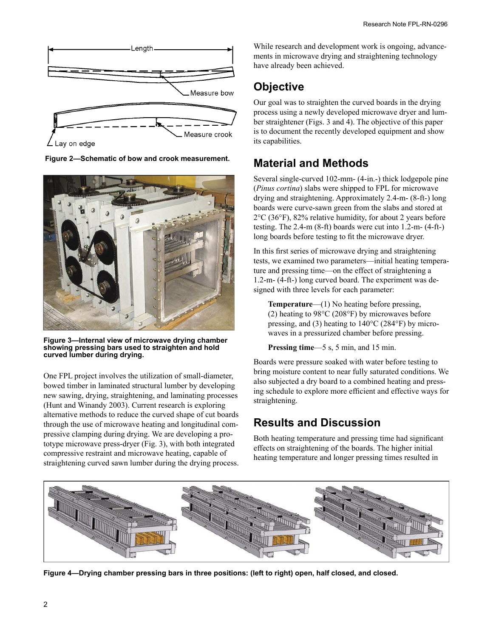

**Figure 2—Schematic of bow and crook measurement.** 



**Figure 3—Internal view of microwave drying chamber showing pressing bars used to straighten and hold curved lumber during drying.**

One FPL project involves the utilization of small-diameter, bowed timber in laminated structural lumber by developing new sawing, drying, straightening, and laminating processes (Hunt and Winandy 2003). Current research is exploring alternative methods to reduce the curved shape of cut boards through the use of microwave heating and longitudinal compressive clamping during drying. We are developing a prototype microwave press-dryer (Fig. 3), with both integrated compressive restraint and microwave heating, capable of straightening curved sawn lumber during the drying process. While research and development work is ongoing, advancements in microwave drying and straightening technology have already been achieved.

### **Objective**

Our goal was to straighten the curved boards in the drying process using a newly developed microwave dryer and lumber straightener (Figs. 3 and 4). The objective of this paper is to document the recently developed equipment and show its capabilities.

#### **Material and Methods**

Several single-curved 102-mm- (4-in.-) thick lodgepole pine (*Pinus cortina*) slabs were shipped to FPL for microwave drying and straightening. Approximately 2.4-m- (8-ft-) long boards were curve-sawn green from the slabs and stored at 2°C (36°F), 82% relative humidity, for about 2 years before testing. The 2.4-m (8-ft) boards were cut into 1.2-m- (4-ft-) long boards before testing to fit the microwave dryer.

In this first series of microwave drying and straightening tests, we examined two parameters—initial heating temperature and pressing time—on the effect of straightening a 1.2-m- (4-ft-) long curved board. The experiment was designed with three levels for each parameter:

**Temperature**—(1) No heating before pressing, (2) heating to 98°C (208°F) by microwaves before pressing, and (3) heating to 140°C (284°F) by microwaves in a pressurized chamber before pressing.

**Pressing time**—5 s, 5 min, and 15 min.

Boards were pressure soaked with water before testing to bring moisture content to near fully saturated conditions. We also subjected a dry board to a combined heating and pressing schedule to explore more efficient and effective ways for straightening.

#### **Results and Discussion**

Both heating temperature and pressing time had significant effects on straightening of the boards. The higher initial heating temperature and longer pressing times resulted in



**Figure 4—Drying chamber pressing bars in three positions: (left to right) open, half closed, and closed.**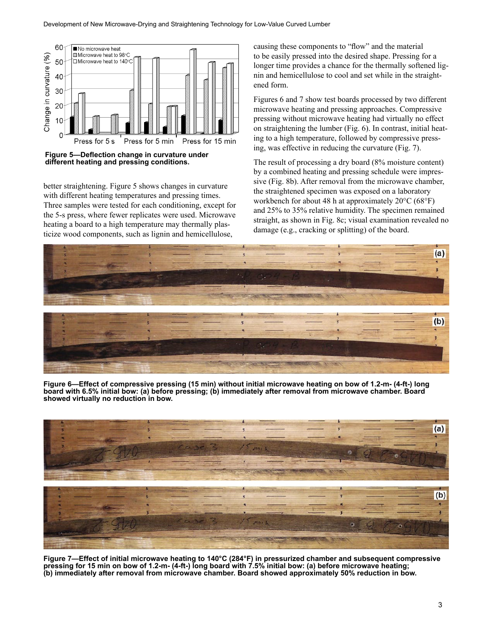

**Figure 5—Deflection change in curvature under different heating and pressing conditions.**

better straightening. Figure 5 shows changes in curvature with different heating temperatures and pressing times. Three samples were tested for each conditioning, except for the 5-s press, where fewer replicates were used. Microwave heating a board to a high temperature may thermally plasticize wood components, such as lignin and hemicellulose,

causing these components to "flow" and the material to be easily pressed into the desired shape. Pressing for a longer time provides a chance for the thermally softened lignin and hemicellulose to cool and set while in the straightened form.

Figures 6 and 7 show test boards processed by two different microwave heating and pressing approaches. Compressive pressing without microwave heating had virtually no effect on straightening the lumber (Fig. 6). In contrast, initial heating to a high temperature, followed by compressive pressing, was effective in reducing the curvature (Fig. 7).

The result of processing a dry board (8% moisture content) by a combined heating and pressing schedule were impressive (Fig. 8b). After removal from the microwave chamber, the straightened specimen was exposed on a laboratory workbench for about 48 h at approximately 20°C (68°F) and 25% to 35% relative humidity. The specimen remained straight, as shown in Fig. 8c; visual examination revealed no damage (e.g., cracking or splitting) of the board.



**Figure 6—Effect of compressive pressing (15 min) without initial microwave heating on bow of 1.2-m- (4-ft-) long board with 6.5% initial bow: (a) before pressing; (b) immediately after removal from microwave chamber. Board showed virtually no reduction in bow.**



**Figure 7—Effect of initial microwave heating to 140°C (284°F) in pressurized chamber and subsequent compressive pressing for 15 min on bow of 1.2-m- (4-ft-) long board with 7.5% initial bow: (a) before microwave heating; (b) immediately after removal from microwave chamber. Board showed approximately 50% reduction in bow.**